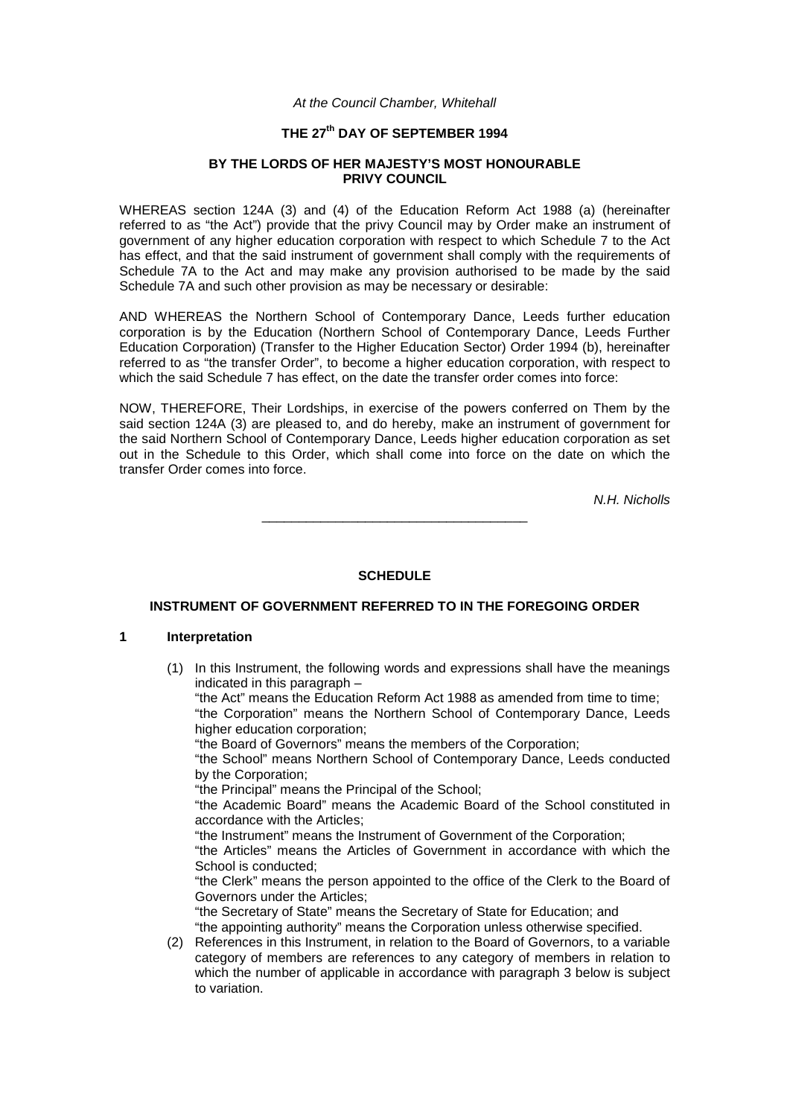#### *At the Council Chamber, Whitehall*

# **THE 27th DAY OF SEPTEMBER 1994**

#### **BY THE LORDS OF HER MAJESTY'S MOST HONOURABLE PRIVY COUNCIL**

WHEREAS section 124A (3) and (4) of the Education Reform Act 1988 (a) (hereinafter referred to as "the Act") provide that the privy Council may by Order make an instrument of government of any higher education corporation with respect to which Schedule 7 to the Act has effect, and that the said instrument of government shall comply with the requirements of Schedule 7A to the Act and may make any provision authorised to be made by the said Schedule 7A and such other provision as may be necessary or desirable:

AND WHEREAS the Northern School of Contemporary Dance, Leeds further education corporation is by the Education (Northern School of Contemporary Dance, Leeds Further Education Corporation) (Transfer to the Higher Education Sector) Order 1994 (b), hereinafter referred to as "the transfer Order", to become a higher education corporation, with respect to which the said Schedule 7 has effect, on the date the transfer order comes into force:

NOW, THEREFORE, Their Lordships, in exercise of the powers conferred on Them by the said section 124A (3) are pleased to, and do hereby, make an instrument of government for the said Northern School of Contemporary Dance, Leeds higher education corporation as set out in the Schedule to this Order, which shall come into force on the date on which the transfer Order comes into force.

*N.H. Nicholls*

\_\_\_\_\_\_\_\_\_\_\_\_\_\_\_\_\_\_\_\_\_\_\_\_\_\_\_\_\_\_\_\_\_\_\_\_

# **SCHEDULE**

# **INSTRUMENT OF GOVERNMENT REFERRED TO IN THE FOREGOING ORDER**

#### **1 Interpretation**

(1) In this Instrument, the following words and expressions shall have the meanings indicated in this paragraph –

"the Act" means the Education Reform Act 1988 as amended from time to time; "the Corporation" means the Northern School of Contemporary Dance, Leeds higher education corporation;

"the Board of Governors" means the members of the Corporation;

"the School" means Northern School of Contemporary Dance, Leeds conducted by the Corporation;

"the Principal" means the Principal of the School;

"the Academic Board" means the Academic Board of the School constituted in accordance with the Articles;

"the Instrument" means the Instrument of Government of the Corporation;

"the Articles" means the Articles of Government in accordance with which the School is conducted;

"the Clerk" means the person appointed to the office of the Clerk to the Board of Governors under the Articles;

"the Secretary of State" means the Secretary of State for Education; and "the appointing authority" means the Corporation unless otherwise specified.

(2) References in this Instrument, in relation to the Board of Governors, to a variable category of members are references to any category of members in relation to which the number of applicable in accordance with paragraph 3 below is subject to variation.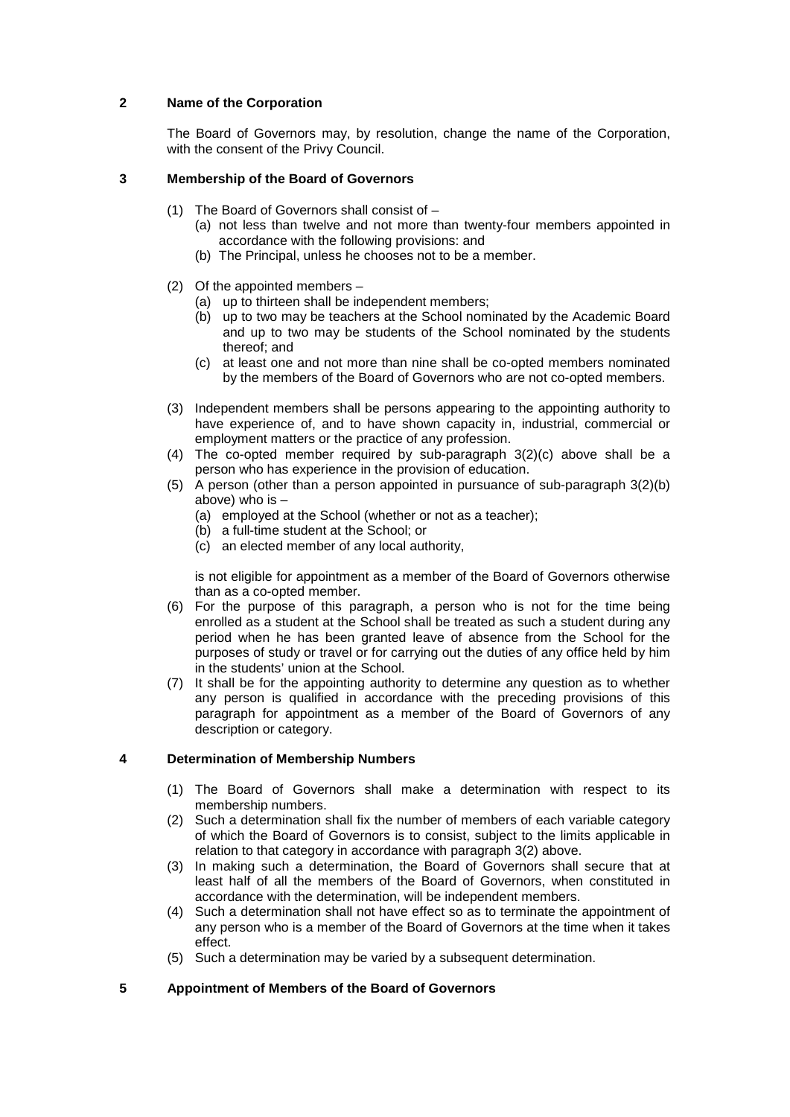# **2 Name of the Corporation**

The Board of Governors may, by resolution, change the name of the Corporation, with the consent of the Privy Council.

# **3 Membership of the Board of Governors**

- (1) The Board of Governors shall consist of
	- (a) not less than twelve and not more than twenty-four members appointed in accordance with the following provisions: and
	- (b) The Principal, unless he chooses not to be a member.
- (2) Of the appointed members
	- (a) up to thirteen shall be independent members;
	- (b) up to two may be teachers at the School nominated by the Academic Board and up to two may be students of the School nominated by the students thereof; and
	- (c) at least one and not more than nine shall be co-opted members nominated by the members of the Board of Governors who are not co-opted members.
- (3) Independent members shall be persons appearing to the appointing authority to have experience of, and to have shown capacity in, industrial, commercial or employment matters or the practice of any profession.
- (4) The co-opted member required by sub-paragraph 3(2)(c) above shall be a person who has experience in the provision of education.
- (5) A person (other than a person appointed in pursuance of sub-paragraph 3(2)(b) above) who is –
	- (a) employed at the School (whether or not as a teacher);
	- (b) a full-time student at the School; or
	- (c) an elected member of any local authority,

is not eligible for appointment as a member of the Board of Governors otherwise than as a co-opted member.

- (6) For the purpose of this paragraph, a person who is not for the time being enrolled as a student at the School shall be treated as such a student during any period when he has been granted leave of absence from the School for the purposes of study or travel or for carrying out the duties of any office held by him in the students' union at the School.
- (7) It shall be for the appointing authority to determine any question as to whether any person is qualified in accordance with the preceding provisions of this paragraph for appointment as a member of the Board of Governors of any description or category.

#### **4 Determination of Membership Numbers**

- (1) The Board of Governors shall make a determination with respect to its membership numbers.
- (2) Such a determination shall fix the number of members of each variable category of which the Board of Governors is to consist, subject to the limits applicable in relation to that category in accordance with paragraph 3(2) above.
- (3) In making such a determination, the Board of Governors shall secure that at least half of all the members of the Board of Governors, when constituted in accordance with the determination, will be independent members.
- (4) Such a determination shall not have effect so as to terminate the appointment of any person who is a member of the Board of Governors at the time when it takes effect.
- (5) Such a determination may be varied by a subsequent determination.

# **5 Appointment of Members of the Board of Governors**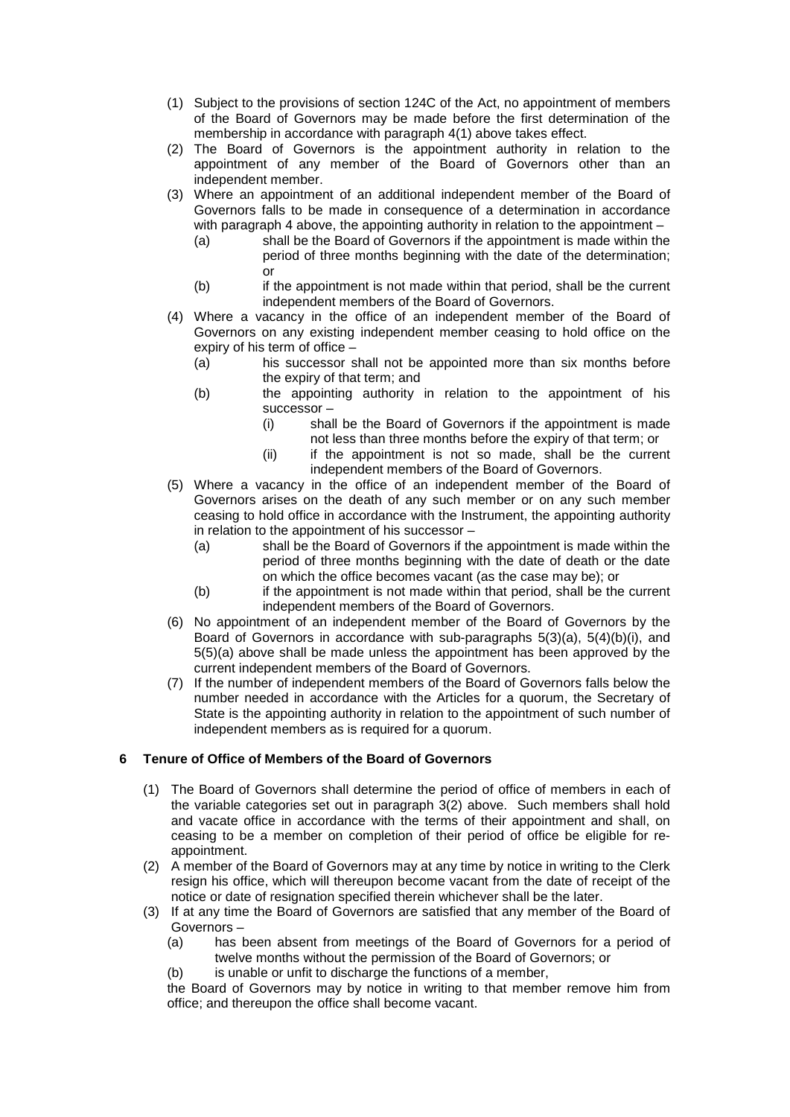- (1) Subject to the provisions of section 124C of the Act, no appointment of members of the Board of Governors may be made before the first determination of the membership in accordance with paragraph 4(1) above takes effect.
- (2) The Board of Governors is the appointment authority in relation to the appointment of any member of the Board of Governors other than an independent member.
- (3) Where an appointment of an additional independent member of the Board of Governors falls to be made in consequence of a determination in accordance with paragraph 4 above, the appointing authority in relation to the appointment –
	- (a) shall be the Board of Governors if the appointment is made within the period of three months beginning with the date of the determination; or
	- (b) if the appointment is not made within that period, shall be the current independent members of the Board of Governors.
- (4) Where a vacancy in the office of an independent member of the Board of Governors on any existing independent member ceasing to hold office on the expiry of his term of office –
	- (a) his successor shall not be appointed more than six months before the expiry of that term; and
	- (b) the appointing authority in relation to the appointment of his successor –
		- (i) shall be the Board of Governors if the appointment is made not less than three months before the expiry of that term; or
		- (ii) if the appointment is not so made, shall be the current independent members of the Board of Governors.
- (5) Where a vacancy in the office of an independent member of the Board of Governors arises on the death of any such member or on any such member ceasing to hold office in accordance with the Instrument, the appointing authority in relation to the appointment of his successor –
	- (a) shall be the Board of Governors if the appointment is made within the period of three months beginning with the date of death or the date on which the office becomes vacant (as the case may be); or
	- (b) if the appointment is not made within that period, shall be the current independent members of the Board of Governors.
- (6) No appointment of an independent member of the Board of Governors by the Board of Governors in accordance with sub-paragraphs 5(3)(a), 5(4)(b)(i), and 5(5)(a) above shall be made unless the appointment has been approved by the current independent members of the Board of Governors.
- (7) If the number of independent members of the Board of Governors falls below the number needed in accordance with the Articles for a quorum, the Secretary of State is the appointing authority in relation to the appointment of such number of independent members as is required for a quorum.

# **6 Tenure of Office of Members of the Board of Governors**

- (1) The Board of Governors shall determine the period of office of members in each of the variable categories set out in paragraph 3(2) above. Such members shall hold and vacate office in accordance with the terms of their appointment and shall, on ceasing to be a member on completion of their period of office be eligible for reappointment.
- (2) A member of the Board of Governors may at any time by notice in writing to the Clerk resign his office, which will thereupon become vacant from the date of receipt of the notice or date of resignation specified therein whichever shall be the later.
- (3) If at any time the Board of Governors are satisfied that any member of the Board of Governors –
	- (a) has been absent from meetings of the Board of Governors for a period of twelve months without the permission of the Board of Governors; or
	- (b) is unable or unfit to discharge the functions of a member,

the Board of Governors may by notice in writing to that member remove him from office; and thereupon the office shall become vacant.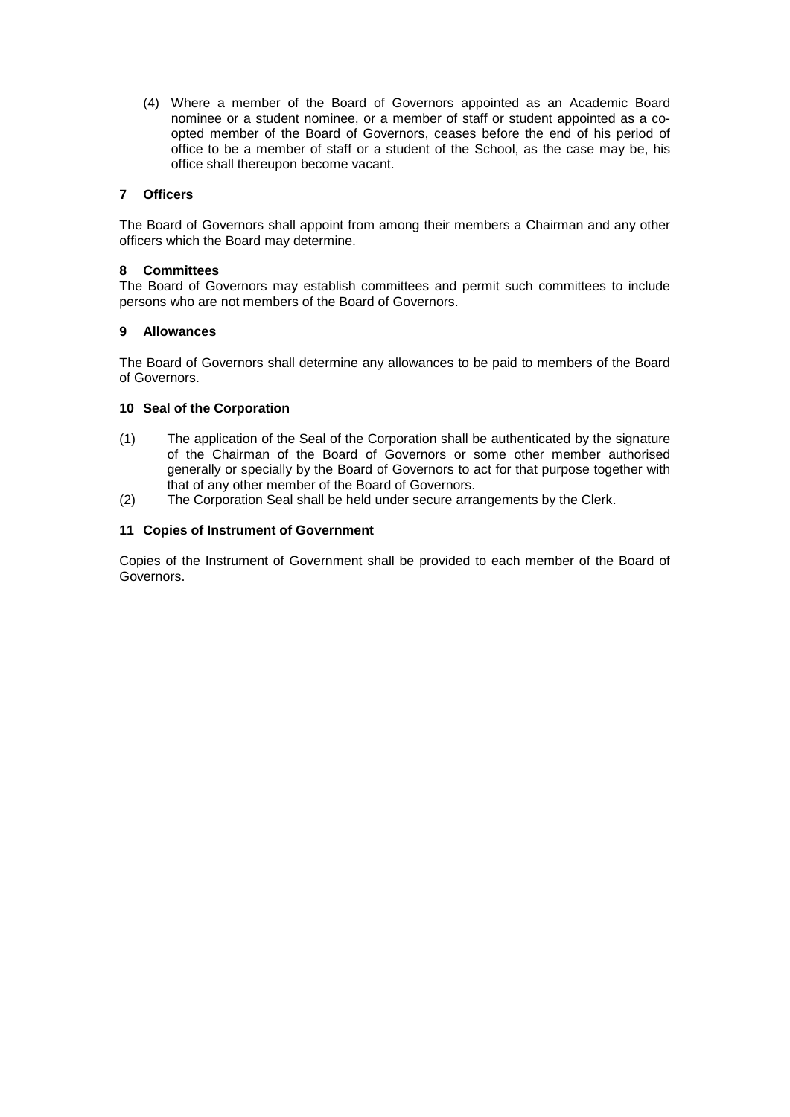(4) Where a member of the Board of Governors appointed as an Academic Board nominee or a student nominee, or a member of staff or student appointed as a coopted member of the Board of Governors, ceases before the end of his period of office to be a member of staff or a student of the School, as the case may be, his office shall thereupon become vacant.

# **7 Officers**

The Board of Governors shall appoint from among their members a Chairman and any other officers which the Board may determine.

#### **8 Committees**

The Board of Governors may establish committees and permit such committees to include persons who are not members of the Board of Governors.

#### **9 Allowances**

The Board of Governors shall determine any allowances to be paid to members of the Board of Governors.

# **10 Seal of the Corporation**

- (1) The application of the Seal of the Corporation shall be authenticated by the signature of the Chairman of the Board of Governors or some other member authorised generally or specially by the Board of Governors to act for that purpose together with that of any other member of the Board of Governors.
- (2) The Corporation Seal shall be held under secure arrangements by the Clerk.

# **11 Copies of Instrument of Government**

Copies of the Instrument of Government shall be provided to each member of the Board of Governors.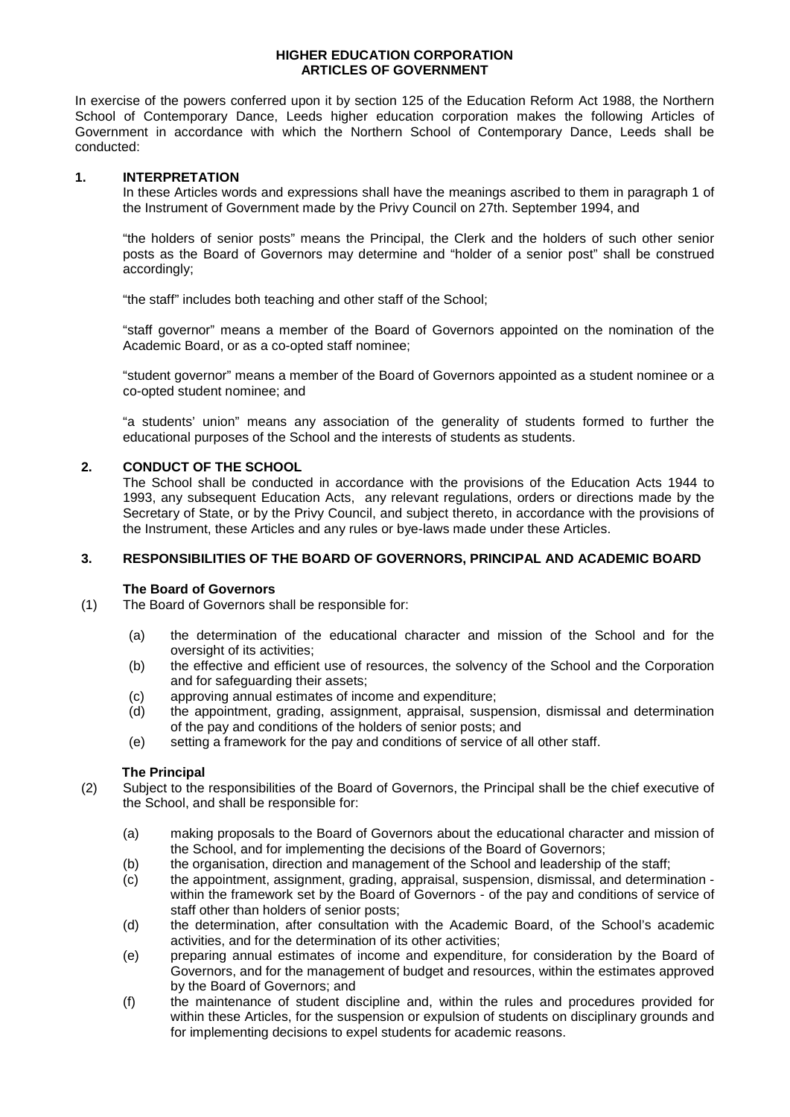### **HIGHER EDUCATION CORPORATION ARTICLES OF GOVERNMENT**

In exercise of the powers conferred upon it by section 125 of the Education Reform Act 1988, the Northern School of Contemporary Dance, Leeds higher education corporation makes the following Articles of Government in accordance with which the Northern School of Contemporary Dance, Leeds shall be conducted:

#### **1. INTERPRETATION**

In these Articles words and expressions shall have the meanings ascribed to them in paragraph 1 of the Instrument of Government made by the Privy Council on 27th. September 1994, and

"the holders of senior posts" means the Principal, the Clerk and the holders of such other senior posts as the Board of Governors may determine and "holder of a senior post" shall be construed accordingly;

"the staff" includes both teaching and other staff of the School;

"staff governor" means a member of the Board of Governors appointed on the nomination of the Academic Board, or as a co-opted staff nominee;

"student governor" means a member of the Board of Governors appointed as a student nominee or a co-opted student nominee; and

"a students' union" means any association of the generality of students formed to further the educational purposes of the School and the interests of students as students.

# **2. CONDUCT OF THE SCHOOL**

The School shall be conducted in accordance with the provisions of the Education Acts 1944 to 1993, any subsequent Education Acts, any relevant regulations, orders or directions made by the Secretary of State, or by the Privy Council, and subject thereto, in accordance with the provisions of the Instrument, these Articles and any rules or bye-laws made under these Articles.

# **3. RESPONSIBILITIES OF THE BOARD OF GOVERNORS, PRINCIPAL AND ACADEMIC BOARD**

#### **The Board of Governors**

- (1) The Board of Governors shall be responsible for:
	- (a) the determination of the educational character and mission of the School and for the oversight of its activities:
	- (b) the effective and efficient use of resources, the solvency of the School and the Corporation and for safeguarding their assets;
	- (c) approving annual estimates of income and expenditure;<br>(d) the appointment, grading, assignment, appraisal, susp
	- the appointment, grading, assignment, appraisal, suspension, dismissal and determination of the pay and conditions of the holders of senior posts; and
	- (e) setting a framework for the pay and conditions of service of all other staff.

#### **The Principal**

(2) Subject to the responsibilities of the Board of Governors, the Principal shall be the chief executive of the School, and shall be responsible for:

- (a) making proposals to the Board of Governors about the educational character and mission of the School, and for implementing the decisions of the Board of Governors;
- (b) the organisation, direction and management of the School and leadership of the staff;
- (c) the appointment, assignment, grading, appraisal, suspension, dismissal, and determination within the framework set by the Board of Governors - of the pay and conditions of service of staff other than holders of senior posts;
- (d) the determination, after consultation with the Academic Board, of the School's academic activities, and for the determination of its other activities;
- (e) preparing annual estimates of income and expenditure, for consideration by the Board of Governors, and for the management of budget and resources, within the estimates approved by the Board of Governors; and
- (f) the maintenance of student discipline and, within the rules and procedures provided for within these Articles, for the suspension or expulsion of students on disciplinary grounds and for implementing decisions to expel students for academic reasons.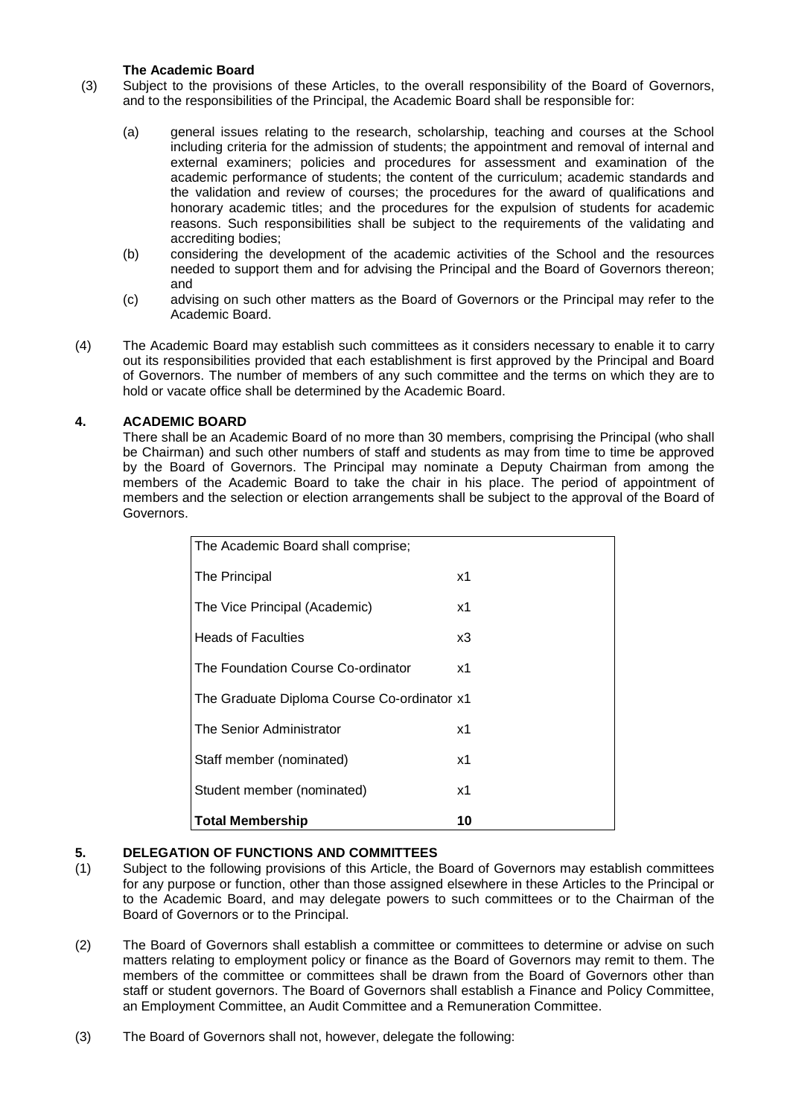# **The Academic Board**

(3) Subject to the provisions of these Articles, to the overall responsibility of the Board of Governors, and to the responsibilities of the Principal, the Academic Board shall be responsible for:

- (a) general issues relating to the research, scholarship, teaching and courses at the School including criteria for the admission of students; the appointment and removal of internal and external examiners; policies and procedures for assessment and examination of the academic performance of students; the content of the curriculum; academic standards and the validation and review of courses; the procedures for the award of qualifications and honorary academic titles; and the procedures for the expulsion of students for academic reasons. Such responsibilities shall be subject to the requirements of the validating and accrediting bodies;
- (b) considering the development of the academic activities of the School and the resources needed to support them and for advising the Principal and the Board of Governors thereon; and
- (c) advising on such other matters as the Board of Governors or the Principal may refer to the Academic Board.
- (4) The Academic Board may establish such committees as it considers necessary to enable it to carry out its responsibilities provided that each establishment is first approved by the Principal and Board of Governors. The number of members of any such committee and the terms on which they are to hold or vacate office shall be determined by the Academic Board.

# **4. ACADEMIC BOARD**

There shall be an Academic Board of no more than 30 members, comprising the Principal (who shall be Chairman) and such other numbers of staff and students as may from time to time be approved by the Board of Governors. The Principal may nominate a Deputy Chairman from among the members of the Academic Board to take the chair in his place. The period of appointment of members and the selection or election arrangements shall be subject to the approval of the Board of Governors.

| The Academic Board shall comprise;          |                |
|---------------------------------------------|----------------|
| The Principal                               | х1             |
| The Vice Principal (Academic)               | x1             |
| <b>Heads of Faculties</b>                   | x3             |
| The Foundation Course Co-ordinator          | x1             |
| The Graduate Diploma Course Co-ordinator x1 |                |
| The Senior Administrator                    | x <sub>1</sub> |
| Staff member (nominated)                    | x1             |
| Student member (nominated)                  | х1             |
| <b>Total Membership</b>                     | 10             |

# **5. DELEGATION OF FUNCTIONS AND COMMITTEES**

- Subject to the following provisions of this Article, the Board of Governors may establish committees for any purpose or function, other than those assigned elsewhere in these Articles to the Principal or to the Academic Board, and may delegate powers to such committees or to the Chairman of the Board of Governors or to the Principal.
- (2) The Board of Governors shall establish a committee or committees to determine or advise on such matters relating to employment policy or finance as the Board of Governors may remit to them. The members of the committee or committees shall be drawn from the Board of Governors other than staff or student governors. The Board of Governors shall establish a Finance and Policy Committee, an Employment Committee, an Audit Committee and a Remuneration Committee.
- (3) The Board of Governors shall not, however, delegate the following: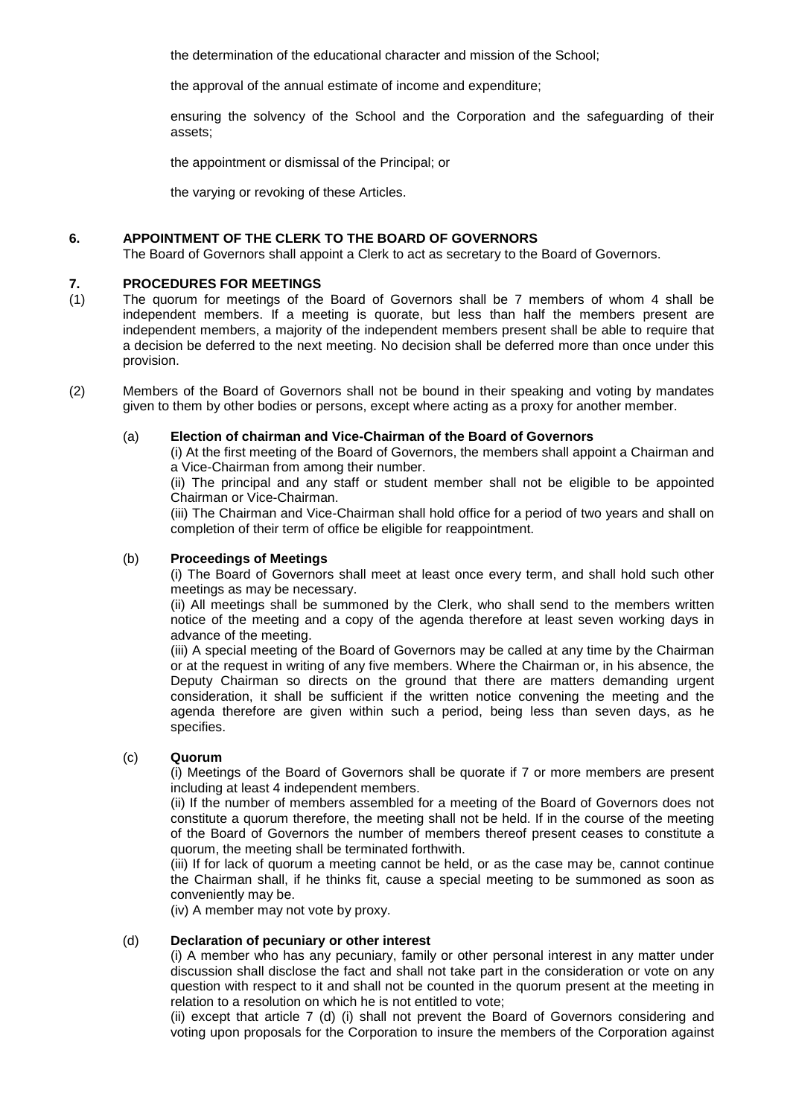the determination of the educational character and mission of the School;

the approval of the annual estimate of income and expenditure;

ensuring the solvency of the School and the Corporation and the safeguarding of their assets;

the appointment or dismissal of the Principal; or

the varying or revoking of these Articles.

#### **6. APPOINTMENT OF THE CLERK TO THE BOARD OF GOVERNORS**

The Board of Governors shall appoint a Clerk to act as secretary to the Board of Governors.

# **7. PROCEDURES FOR MEETINGS**

- (1) The quorum for meetings of the Board of Governors shall be 7 members of whom 4 shall be independent members. If a meeting is quorate, but less than half the members present are independent members, a majority of the independent members present shall be able to require that a decision be deferred to the next meeting. No decision shall be deferred more than once under this provision.
- (2) Members of the Board of Governors shall not be bound in their speaking and voting by mandates given to them by other bodies or persons, except where acting as a proxy for another member.

#### (a) **Election of chairman and Vice-Chairman of the Board of Governors**

(i) At the first meeting of the Board of Governors, the members shall appoint a Chairman and a Vice-Chairman from among their number.

(ii) The principal and any staff or student member shall not be eligible to be appointed Chairman or Vice-Chairman.

(iii) The Chairman and Vice-Chairman shall hold office for a period of two years and shall on completion of their term of office be eligible for reappointment.

#### (b) **Proceedings of Meetings**

(i) The Board of Governors shall meet at least once every term, and shall hold such other meetings as may be necessary.

(ii) All meetings shall be summoned by the Clerk, who shall send to the members written notice of the meeting and a copy of the agenda therefore at least seven working days in advance of the meeting.

(iii) A special meeting of the Board of Governors may be called at any time by the Chairman or at the request in writing of any five members. Where the Chairman or, in his absence, the Deputy Chairman so directs on the ground that there are matters demanding urgent consideration, it shall be sufficient if the written notice convening the meeting and the agenda therefore are given within such a period, being less than seven days, as he specifies.

#### (c) **Quorum**

(i) Meetings of the Board of Governors shall be quorate if 7 or more members are present including at least 4 independent members.

(ii) If the number of members assembled for a meeting of the Board of Governors does not constitute a quorum therefore, the meeting shall not be held. If in the course of the meeting of the Board of Governors the number of members thereof present ceases to constitute a quorum, the meeting shall be terminated forthwith.

(iii) If for lack of quorum a meeting cannot be held, or as the case may be, cannot continue the Chairman shall, if he thinks fit, cause a special meeting to be summoned as soon as conveniently may be.

(iv) A member may not vote by proxy.

# (d) **Declaration of pecuniary or other interest**

(i) A member who has any pecuniary, family or other personal interest in any matter under discussion shall disclose the fact and shall not take part in the consideration or vote on any question with respect to it and shall not be counted in the quorum present at the meeting in relation to a resolution on which he is not entitled to vote;

(ii) except that article 7 (d) (i) shall not prevent the Board of Governors considering and voting upon proposals for the Corporation to insure the members of the Corporation against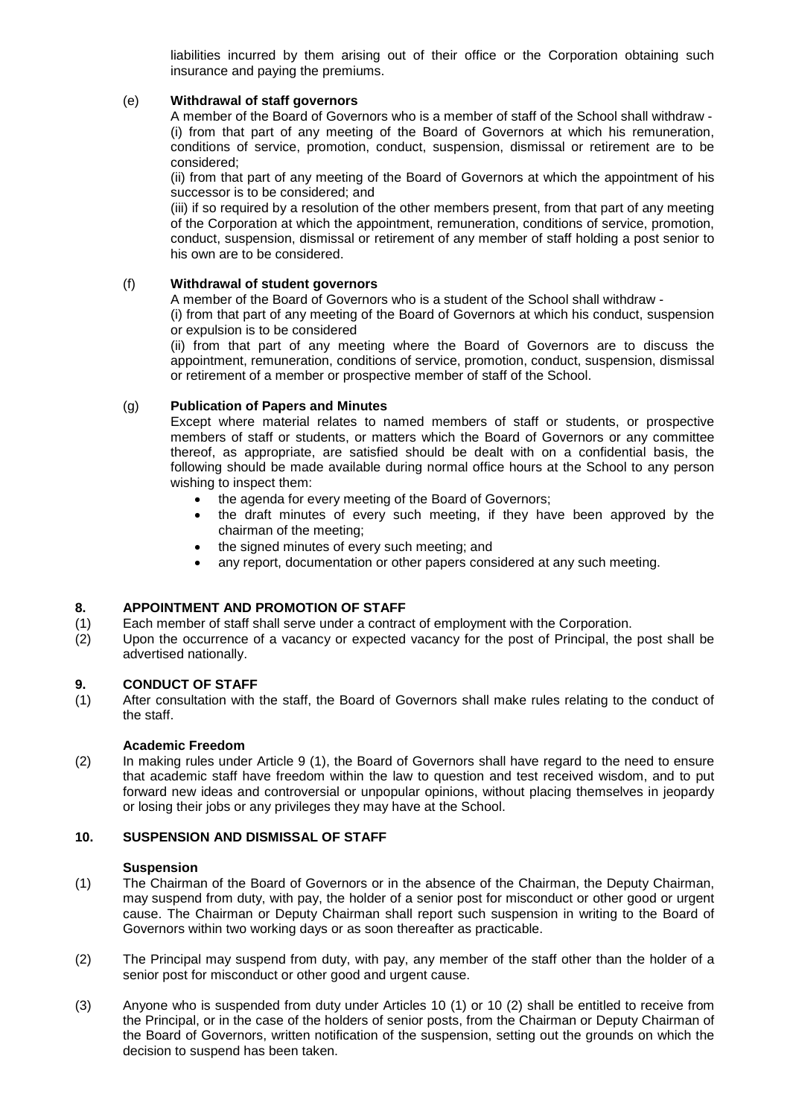liabilities incurred by them arising out of their office or the Corporation obtaining such insurance and paying the premiums.

# (e) **Withdrawal of staff governors**

A member of the Board of Governors who is a member of staff of the School shall withdraw - (i) from that part of any meeting of the Board of Governors at which his remuneration, conditions of service, promotion, conduct, suspension, dismissal or retirement are to be considered;

(ii) from that part of any meeting of the Board of Governors at which the appointment of his successor is to be considered; and

(iii) if so required by a resolution of the other members present, from that part of any meeting of the Corporation at which the appointment, remuneration, conditions of service, promotion, conduct, suspension, dismissal or retirement of any member of staff holding a post senior to his own are to be considered.

# (f) **Withdrawal of student governors**

A member of the Board of Governors who is a student of the School shall withdraw -

(i) from that part of any meeting of the Board of Governors at which his conduct, suspension or expulsion is to be considered

(ii) from that part of any meeting where the Board of Governors are to discuss the appointment, remuneration, conditions of service, promotion, conduct, suspension, dismissal or retirement of a member or prospective member of staff of the School.

# (g) **Publication of Papers and Minutes**

Except where material relates to named members of staff or students, or prospective members of staff or students, or matters which the Board of Governors or any committee thereof, as appropriate, are satisfied should be dealt with on a confidential basis, the following should be made available during normal office hours at the School to any person wishing to inspect them:

- the agenda for every meeting of the Board of Governors:
- the draft minutes of every such meeting, if they have been approved by the chairman of the meeting;
- the signed minutes of every such meeting; and
- any report, documentation or other papers considered at any such meeting.

# **8. APPOINTMENT AND PROMOTION OF STAFF**

- (1) Each member of staff shall serve under a contract of employment with the Corporation.
- (2) Upon the occurrence of a vacancy or expected vacancy for the post of Principal, the post shall be advertised nationally.

#### **9. CONDUCT OF STAFF**

(1) After consultation with the staff, the Board of Governors shall make rules relating to the conduct of the staff.

#### **Academic Freedom**

(2) In making rules under Article 9 (1), the Board of Governors shall have regard to the need to ensure that academic staff have freedom within the law to question and test received wisdom, and to put forward new ideas and controversial or unpopular opinions, without placing themselves in jeopardy or losing their jobs or any privileges they may have at the School.

# **10. SUSPENSION AND DISMISSAL OF STAFF**

#### **Suspension**

- (1) The Chairman of the Board of Governors or in the absence of the Chairman, the Deputy Chairman, may suspend from duty, with pay, the holder of a senior post for misconduct or other good or urgent cause. The Chairman or Deputy Chairman shall report such suspension in writing to the Board of Governors within two working days or as soon thereafter as practicable.
- (2) The Principal may suspend from duty, with pay, any member of the staff other than the holder of a senior post for misconduct or other good and urgent cause.
- (3) Anyone who is suspended from duty under Articles 10 (1) or 10 (2) shall be entitled to receive from the Principal, or in the case of the holders of senior posts, from the Chairman or Deputy Chairman of the Board of Governors, written notification of the suspension, setting out the grounds on which the decision to suspend has been taken.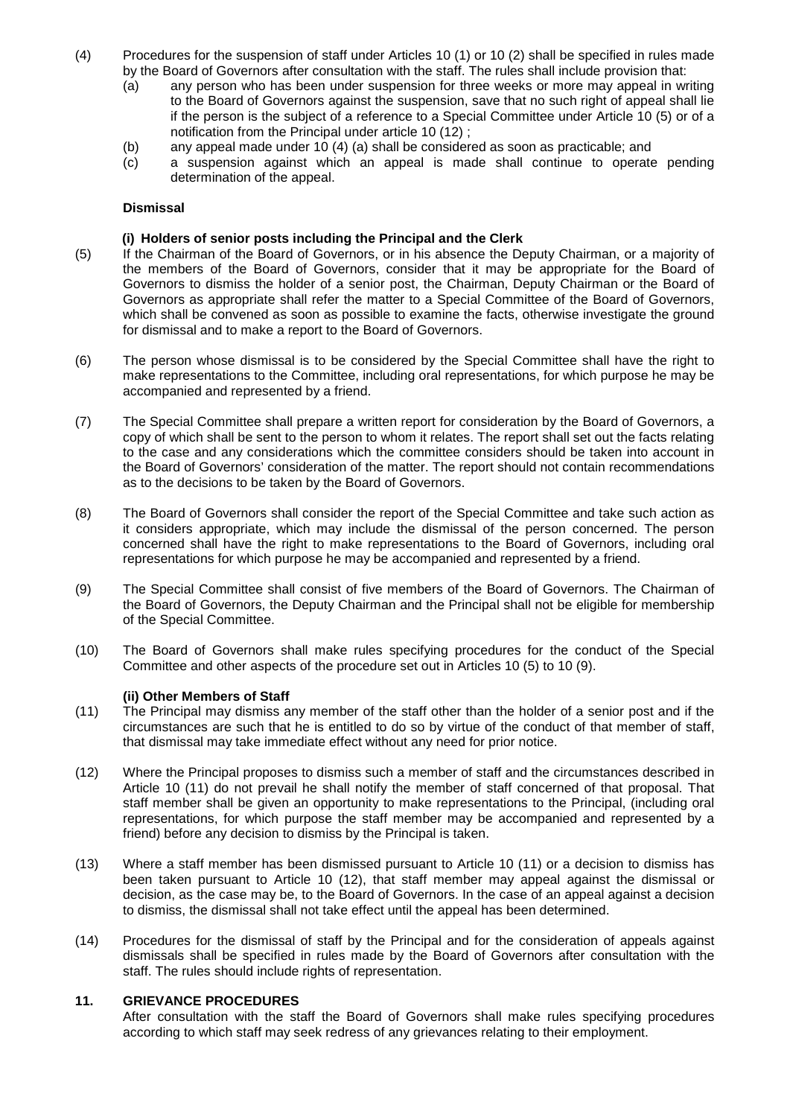- (4) Procedures for the suspension of staff under Articles 10 (1) or 10 (2) shall be specified in rules made by the Board of Governors after consultation with the staff. The rules shall include provision that:
	- (a) any person who has been under suspension for three weeks or more may appeal in writing to the Board of Governors against the suspension, save that no such right of appeal shall lie if the person is the subject of a reference to a Special Committee under Article 10 (5) or of a notification from the Principal under article 10 (12) ;
	- (b) any appeal made under 10 (4) (a) shall be considered as soon as practicable; and
	- (c) a suspension against which an appeal is made shall continue to operate pending determination of the appeal.

#### **Dismissal**

### **(i) Holders of senior posts including the Principal and the Clerk**

- (5) If the Chairman of the Board of Governors, or in his absence the Deputy Chairman, or a majority of the members of the Board of Governors, consider that it may be appropriate for the Board of Governors to dismiss the holder of a senior post, the Chairman, Deputy Chairman or the Board of Governors as appropriate shall refer the matter to a Special Committee of the Board of Governors, which shall be convened as soon as possible to examine the facts, otherwise investigate the ground for dismissal and to make a report to the Board of Governors.
- (6) The person whose dismissal is to be considered by the Special Committee shall have the right to make representations to the Committee, including oral representations, for which purpose he may be accompanied and represented by a friend.
- (7) The Special Committee shall prepare a written report for consideration by the Board of Governors, a copy of which shall be sent to the person to whom it relates. The report shall set out the facts relating to the case and any considerations which the committee considers should be taken into account in the Board of Governors' consideration of the matter. The report should not contain recommendations as to the decisions to be taken by the Board of Governors.
- (8) The Board of Governors shall consider the report of the Special Committee and take such action as it considers appropriate, which may include the dismissal of the person concerned. The person concerned shall have the right to make representations to the Board of Governors, including oral representations for which purpose he may be accompanied and represented by a friend.
- (9) The Special Committee shall consist of five members of the Board of Governors. The Chairman of the Board of Governors, the Deputy Chairman and the Principal shall not be eligible for membership of the Special Committee.
- (10) The Board of Governors shall make rules specifying procedures for the conduct of the Special Committee and other aspects of the procedure set out in Articles 10 (5) to 10 (9).

#### **(ii) Other Members of Staff**

- (11) The Principal may dismiss any member of the staff other than the holder of a senior post and if the circumstances are such that he is entitled to do so by virtue of the conduct of that member of staff, that dismissal may take immediate effect without any need for prior notice.
- (12) Where the Principal proposes to dismiss such a member of staff and the circumstances described in Article 10 (11) do not prevail he shall notify the member of staff concerned of that proposal. That staff member shall be given an opportunity to make representations to the Principal, (including oral representations, for which purpose the staff member may be accompanied and represented by a friend) before any decision to dismiss by the Principal is taken.
- (13) Where a staff member has been dismissed pursuant to Article 10 (11) or a decision to dismiss has been taken pursuant to Article 10 (12), that staff member may appeal against the dismissal or decision, as the case may be, to the Board of Governors. In the case of an appeal against a decision to dismiss, the dismissal shall not take effect until the appeal has been determined.
- (14) Procedures for the dismissal of staff by the Principal and for the consideration of appeals against dismissals shall be specified in rules made by the Board of Governors after consultation with the staff. The rules should include rights of representation.

#### **11. GRIEVANCE PROCEDURES**

After consultation with the staff the Board of Governors shall make rules specifying procedures according to which staff may seek redress of any grievances relating to their employment.